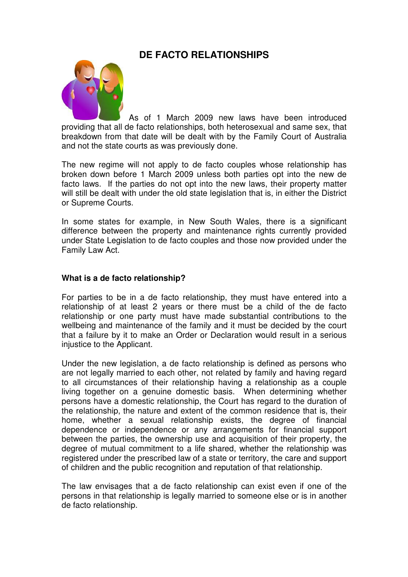# **DE FACTO RELATIONSHIPS**



 As of 1 March 2009 new laws have been introduced providing that all de facto relationships, both heterosexual and same sex, that breakdown from that date will be dealt with by the Family Court of Australia and not the state courts as was previously done.

The new regime will not apply to de facto couples whose relationship has broken down before 1 March 2009 unless both parties opt into the new de facto laws. If the parties do not opt into the new laws, their property matter will still be dealt with under the old state legislation that is, in either the District or Supreme Courts.

In some states for example, in New South Wales, there is a significant difference between the property and maintenance rights currently provided under State Legislation to de facto couples and those now provided under the Family Law Act.

#### **What is a de facto relationship?**

For parties to be in a de facto relationship, they must have entered into a relationship of at least 2 years or there must be a child of the de facto relationship or one party must have made substantial contributions to the wellbeing and maintenance of the family and it must be decided by the court that a failure by it to make an Order or Declaration would result in a serious injustice to the Applicant.

Under the new legislation, a de facto relationship is defined as persons who are not legally married to each other, not related by family and having regard to all circumstances of their relationship having a relationship as a couple living together on a genuine domestic basis. When determining whether persons have a domestic relationship, the Court has regard to the duration of the relationship, the nature and extent of the common residence that is, their home, whether a sexual relationship exists, the degree of financial dependence or independence or any arrangements for financial support between the parties, the ownership use and acquisition of their property, the degree of mutual commitment to a life shared, whether the relationship was registered under the prescribed law of a state or territory, the care and support of children and the public recognition and reputation of that relationship.

The law envisages that a de facto relationship can exist even if one of the persons in that relationship is legally married to someone else or is in another de facto relationship.